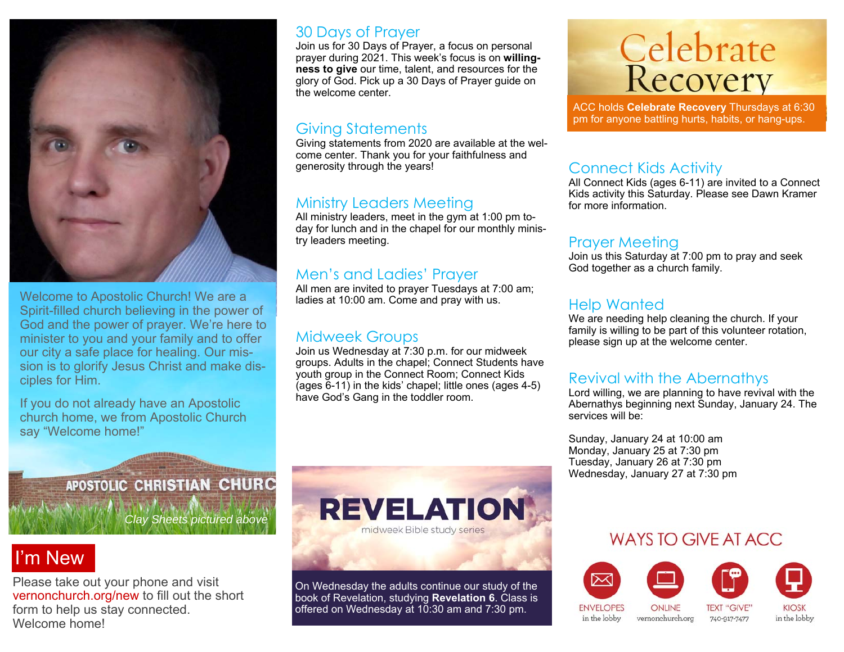

Welcome to Apostolic Church! We are a Spirit-filled church believing in the power of God and the power of prayer. We're here to minister to you and your family and to offer our city a safe place for healing. Our mission is to glorify Jesus Christ and make disciples for Him.

If you do not already have an Apostolic church home, we from Apostolic Church say "Welcome home!"

#### 30 Days of Prayer

Join us for 30 Days of Prayer, a focus on personal prayer during 2021. This week's focus is on **willingness to give** our time, talent, and resources for the glory of God. Pick up a 30 Days of Prayer guide on the welcome center.

#### Giving Statements

Giving statements from 2020 are available at the welcome center. Thank you for your faithfulness and generosity through the years!

#### Ministry Leaders Meeting

All ministry leaders, meet in the gym at 1:00 pm today for lunch and in the chapel for our monthly ministry leaders meeting.

#### Men's and Ladies' Prayer

All men are invited to prayer Tuesdays at 7:00 am; ladies at 10:00 am. Come and pray with us.

#### Midweek Groups

Join us Wednesday at 7:30 p.m. for our midweek groups. Adults in the chapel; Connect Students have youth group in the Connect Room; Connect Kids (ages 6-11) in the kids' chapel; little ones (ages 4-5) have God's Gang in the toddler room.

# **Celebrate**<br>Recovery

ACC holds **Celebrate Recovery** Thursdays at 6:30 pm for anyone battling hurts, habits, or hang-ups.

#### Connect Kids Activity

All Connect Kids (ages 6-11) are invited to a Connect Kids activity this Saturday. Please see Dawn Kramer for more information.

#### Prayer Meeting

Join us this Saturday at 7:00 pm to pray and seek God together as a church family.

#### Help Wanted

We are needing help cleaning the church. If your family is willing to be part of this volunteer rotation, please sign up at the welcome center.

#### Revival with the Abernathys

Lord willing, we are planning to have revival with the Abernathys beginning next Sunday, January 24. The services will be:

Sunday, January 24 at 10:00 am Monday, January 25 at 7:30 pm Tuesday, January 26 at 7:30 pm Wednesday, January 27 at 7:30 pm

## APOSTOLIC CHRISTIAN CHURC

*Clay Sheets pictured above* 

## I'm New

Please take out your phone and visit vernonchurch.org/new to fill out the short form to help us stay connected. Welcome home!



On Wednesday the adults continue our study of the book of Revelation, studying **Revelation 6**. Class is offered on Wednesday at 10:30 am and 7:30 pm.

### WAYS TO GIVE AT ACC